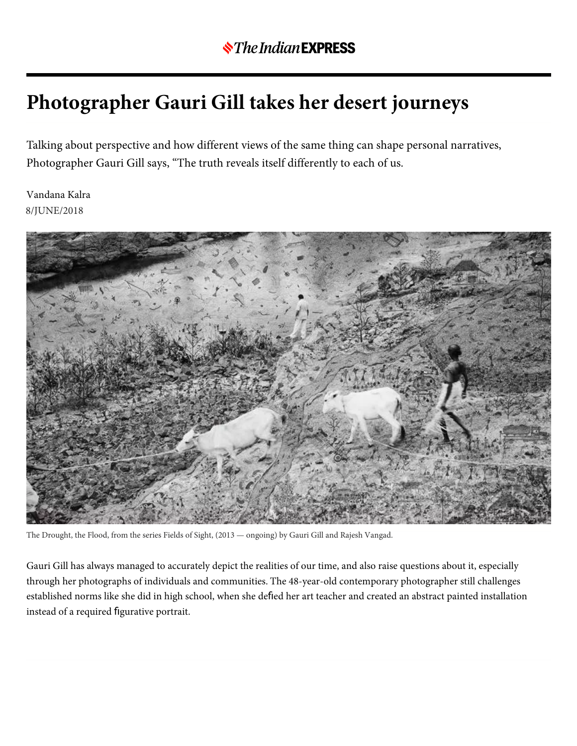## **Photographer Gauri Gill takes her desert journeys**

Talking about perspective and how different views of the same thing can shape personal narratives, Photographer Gauri Gill says, "The truth reveals itself differently to each of us.

8/JUNE/2018 Vandana Kalra



The Drought, the Flood, from the series Fields of Sight, (2013 — ongoing) by Gauri Gill and Rajesh Vangad.

Gauri Gill has always managed to accurately depict the realities of our time, and also raise questions about it, especially through her photographs of individuals and communities. The 48-year-old contemporary photographer still challenges established norms like she did in high school, when she defled her art teacher and created an abstract painted installation instead of a required figurative portrait.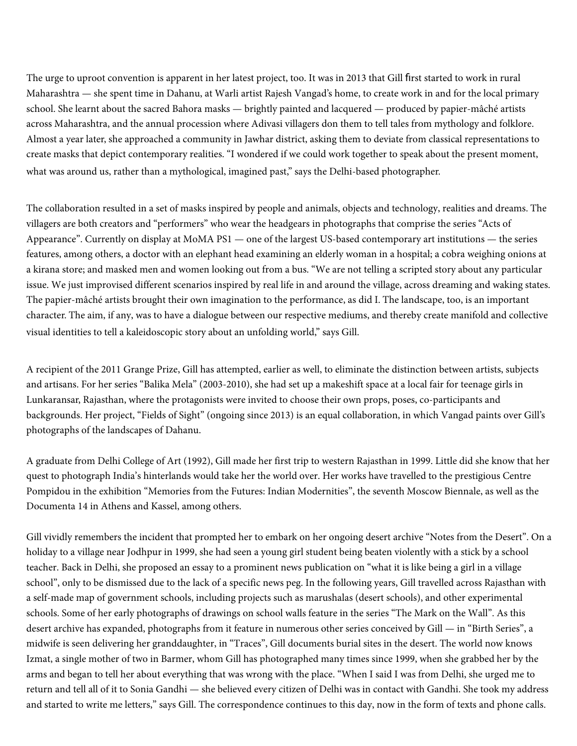The urge to uproot convention is apparent in her latest project, too. It was in 2013 that Gill first started to work in rural Maharashtra — she spent time in Dahanu, at Warli artist Rajesh Vangad's home, to create work in and for the local primary school. She learnt about the sacred Bahora masks — brightly painted and lacquered — produced by papier-mâché artists across Maharashtra, and the annual procession where Adivasi villagers don them to tell tales from mythology and folklore. Almost a year later, she approached a community in Jawhar district, asking them to deviate from classical representations to create masks that depict contemporary realities. "I wondered if we could work together to speak about the present moment, what was around us, rather than a mythological, imagined past," says the Delhi-based photographer.

The collaboration resulted in a set of masks inspired by people and animals, objects and technology, realities and dreams. The villagers are both creators and "performers" who wear the headgears in photographs that comprise the series "Acts of Appearance". Currently on display at MoMA PS1 — one of the largest US-based contemporary art institutions — the series features, among others, a doctor with an elephant head examining an elderly woman in a hospital; a cobra weighing onions at a kirana store; and masked men and women looking out from a bus. "We are not telling a scripted story about any particular issue. We just improvised different scenarios inspired by real life in and around the village, across dreaming and waking states. The papier-mâché artists brought their own imagination to the performance, as did I. The landscape, too, is an important character. The aim, if any, was to have a dialogue between our respective mediums, and thereby create manifold and collective visual identities to tell a kaleidoscopic story about an unfolding world," says Gill.

A recipient of the 2011 Grange Prize, Gill has attempted, earlier as well, to eliminate the distinction between artists, subjects and artisans. For her series "Balika Mela" (2003-2010), she had set up a makeshift space at a local fair for teenage girls in Lunkaransar, Rajasthan, where the protagonists were invited to choose their own props, poses, co-participants and backgrounds. Her project, "Fields of Sight" (ongoing since 2013) is an equal collaboration, in which Vangad paints over Gill's photographs of the landscapes of Dahanu.

A graduate from Delhi College of Art (1992), Gill made her first trip to western Rajasthan in 1999. Little did she know that her quest to photograph India's hinterlands would take her the world over. Her works have travelled to the prestigious Centre Pompidou in the exhibition "Memories from the Futures: Indian Modernities", the seventh Moscow Biennale, as well as the Documenta 14 in Athens and Kassel, among others.

Gill vividly remembers the incident that prompted her to embark on her ongoing desert archive "Notes from the Desert". On a holiday to a village near Jodhpur in 1999, she had seen a young girl student being beaten violently with a stick by a school teacher. Back in Delhi, she proposed an essay to a prominent news publication on "what it is like being a girl in a village school", only to be dismissed due to the lack of a specific news peg. In the following years, Gill travelled across Rajasthan with a self-made map of government schools, including projects such as marushalas (desert schools), and other experimental schools. Some of her early photographs of drawings on school walls feature in the series "The Mark on the Wall". As this desert archive has expanded, photographs from it feature in numerous other series conceived by Gill — in "Birth Series", a midwife is seen delivering her granddaughter, in "Traces", Gill documents burial sites in the desert. The world now knows Izmat, a single mother of two in Barmer, whom Gill has photographed many times since 1999, when she grabbed her by the arms and began to tell her about everything that was wrong with the place. "When I said I was from Delhi, she urged me to return and tell all of it to Sonia Gandhi — she believed every citizen of Delhi was in contact with Gandhi. She took my address and started to write me letters," says Gill. The correspondence continues to this day, now in the form of texts and phone calls.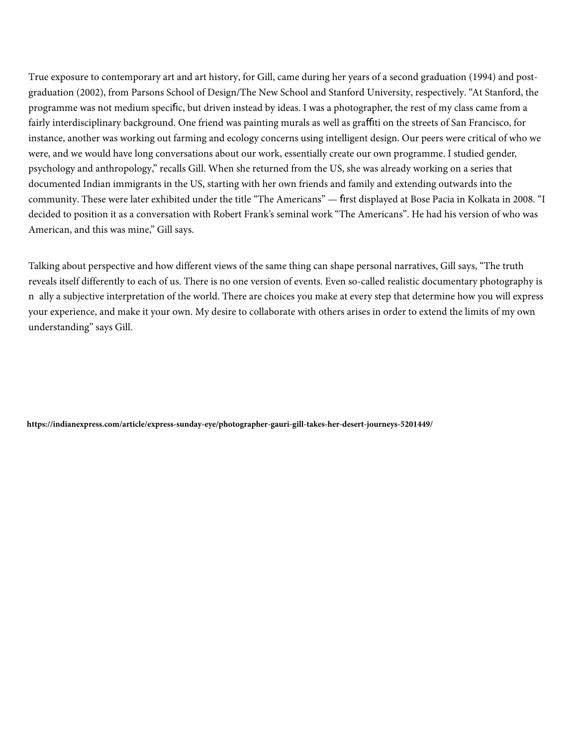True exposure to contemporary art and art history, for Gill, came during her years of a second graduation (1994) and postgraduation (2002), from Parsons School of Design/The New School and Stanford University, respectively. "At Stanford, the programme was not medium specific, but driven instead by ideas. I was a photographer, the rest of my class came from a fairly interdisciplinary background. One friend was painting murals as well as graffiti on the streets of San Francisco, for instance, another was working out farming and ecology concerns using intelligent design. Our peers were critical of who we were, and we would have long conversations about our work, essentially create our own programme. I studied gender, psychology and anthropology," recalls Gill. When she returned from the US, she was already working on a series that documented Indian immigrants in the US, starting with her own friends and family and extending outwards into the community. These were later exhibited under the title "The Americans" — first displayed at Bose Pacia in Kolkata in 2008. "I decided to position it as a conversation with Robert Frank's seminal work "The Americans". He had his version of who was American, and this was mine," Gill says.

Talking about perspective and how different views of the same thing can shape personal narratives, Gill says, "The truth reveals itself differently to each of us. There is no one version of events. Even so-called realistic documentary photography is n ally a subjective interpretation of the world. There are choices you make at every step that determine how you will express your experience, and make it your own. My desire to collaborate with others arises in order to extend the limits of my own understanding" says Gill.

**<https://indianexpress.com/article/express-sunday-eye/photographer-gauri-gill-takes-her-desert-journeys-5201449/>**